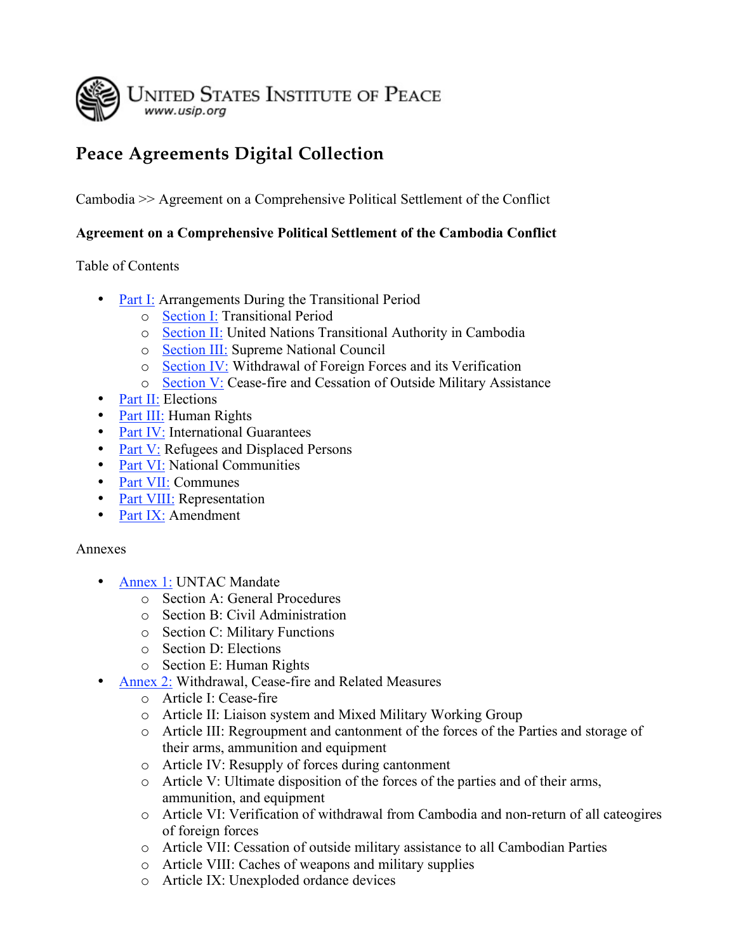

# **Peace Agreements Digital Collection**

Cambodia >> Agreement on a Comprehensive Political Settlement of the Conflict

# **Agreement on a Comprehensive Political Settlement of the Cambodia Conflict**

# Table of Contents

- [Part I:](#page-2-0) Arrangements During the Transitional Period
	- o [Section I:](#page-2-0) Transitional Period
	- o [Section II:](#page-2-0) United Nations Transitional Authority in Cambodia
	- o [Section III:](#page-3-0) Supreme National Council
	- o [Section IV:](#page-3-0) Withdrawal of Foreign Forces and its Verification
	- o [Section V:](#page-3-0) Cease-fire and Cessation of Outside Military Assistance
- [Part II: E](#page-4-0)lections
- [Part III:](#page-4-0) Human Rights
- [Part IV:](#page-5-0) International Guarantees
- [Part V:](#page-5-0) Refugees and Displaced Persons
- [Part VI:](#page-6-0) National Communities
- [Part VII:](#page-6-0) Communes
- [Part VIII:](#page-6-0) Representation
- [Part IX:](#page-6-0) Amendment

# Annexes

- [Annex 1: U](#page-7-0)NTAC Mandate
	- o Section A: General Procedures
	- o Section B: Civil Administration
	- o Section C: Military Functions
	- o Section D: Elections
	- o Section E: Human Rights
- [Annex 2: W](#page-11-0)ithdrawal, Cease-fire and Related Measures
	- o Article I: Cease-fire
	- o Article II: Liaison system and Mixed Military Working Group
	- o Article III: Regroupment and cantonment of the forces of the Parties and storage of their arms, ammunition and equipment
	- o Article IV: Resupply of forces during cantonment
	- o Article V: Ultimate disposition of the forces of the parties and of their arms, ammunition, and equipment
	- o Article VI: Verification of withdrawal from Cambodia and non-return of all cateogires of foreign forces
	- o Article VII: Cessation of outside military assistance to all Cambodian Parties
	- o Article VIII: Caches of weapons and military supplies
	- o Article IX: Unexploded ordance devices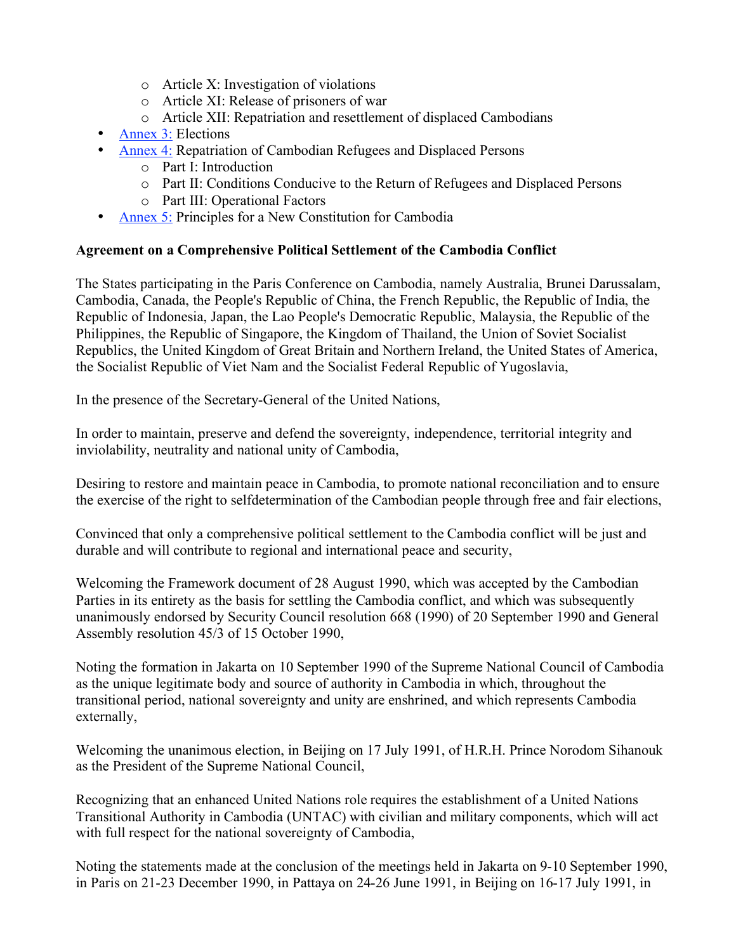- o Article X: Investigation of violations
- o Article XI: Release of prisoners of war
- o Article XII: Repatriation and resettlement of displaced Cambodians
- [Annex 3: E](#page-18-0)lections
- [Annex 4: R](#page-18-0)epatriation of Cambodian Refugees and Displaced Persons
	- o Part I: Introduction
	- o Part II: Conditions Conducive to the Return of Refugees and Displaced Persons
	- o Part III: Operational Factors
- [Annex 5:](#page-20-0) Principles for a New Constitution for Cambodia

# **Agreement on a Comprehensive Political Settlement of the Cambodia Conflict**

The States participating in the Paris Conference on Cambodia, namely Australia, Brunei Darussalam, Cambodia, Canada, the People's Republic of China, the French Republic, the Republic of India, the Republic of Indonesia, Japan, the Lao People's Democratic Republic, Malaysia, the Republic of the Philippines, the Republic of Singapore, the Kingdom of Thailand, the Union of Soviet Socialist Republics, the United Kingdom of Great Britain and Northern Ireland, the United States of America, the Socialist Republic of Viet Nam and the Socialist Federal Republic of Yugoslavia,

In the presence of the Secretary-General of the United Nations,

In order to maintain, preserve and defend the sovereignty, independence, territorial integrity and inviolability, neutrality and national unity of Cambodia,

Desiring to restore and maintain peace in Cambodia, to promote national reconciliation and to ensure the exercise of the right to selfdetermination of the Cambodian people through free and fair elections,

Convinced that only a comprehensive political settlement to the Cambodia conflict will be just and durable and will contribute to regional and international peace and security,

Welcoming the Framework document of 28 August 1990, which was accepted by the Cambodian Parties in its entirety as the basis for settling the Cambodia conflict, and which was subsequently unanimously endorsed by Security Council resolution 668 (1990) of 20 September 1990 and General Assembly resolution 45/3 of 15 October 1990,

Noting the formation in Jakarta on 10 September 1990 of the Supreme National Council of Cambodia as the unique legitimate body and source of authority in Cambodia in which, throughout the transitional period, national sovereignty and unity are enshrined, and which represents Cambodia externally,

Welcoming the unanimous election, in Beijing on 17 July 1991, of H.R.H. Prince Norodom Sihanouk as the President of the Supreme National Council,

Recognizing that an enhanced United Nations role requires the establishment of a United Nations Transitional Authority in Cambodia (UNTAC) with civilian and military components, which will act with full respect for the national sovereignty of Cambodia,

Noting the statements made at the conclusion of the meetings held in Jakarta on 9-10 September 1990, in Paris on 21-23 December 1990, in Pattaya on 24-26 June 1991, in Beijing on 16-17 July 1991, in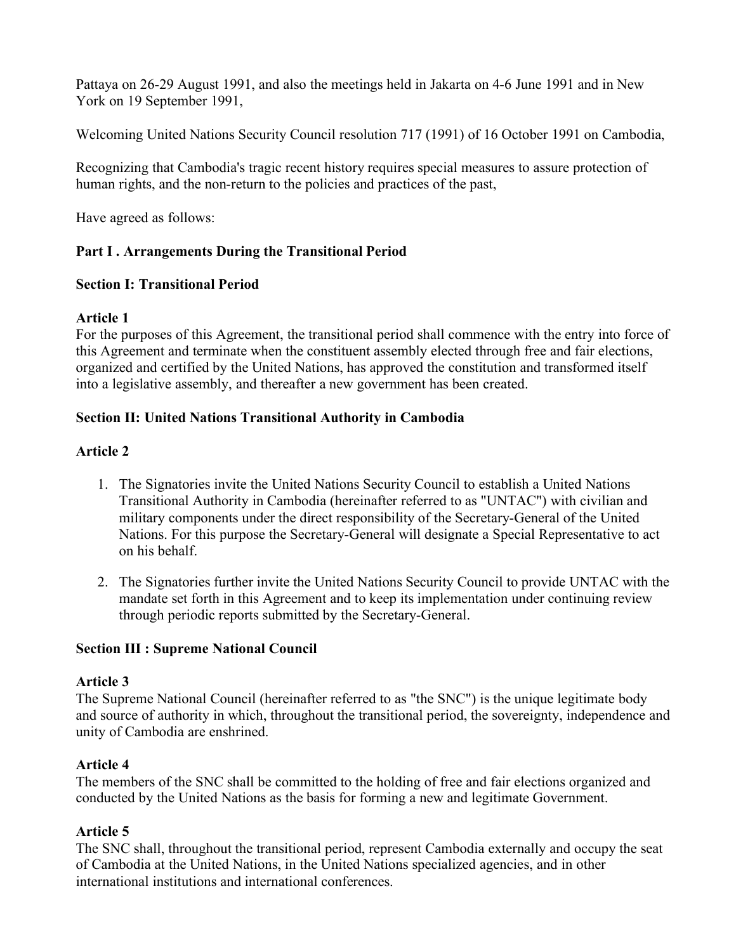<span id="page-2-0"></span>Pattaya on 26-29 August 1991, and also the meetings held in Jakarta on 4-6 June 1991 and in New York on 19 September 1991,

Welcoming United Nations Security Council resolution 717 (1991) of 16 October 1991 on Cambodia,

Recognizing that Cambodia's tragic recent history requires special measures to assure protection of human rights, and the non-return to the policies and practices of the past,

Have agreed as follows:

# **Part I . Arrangements During the Transitional Period**

### **Section I: Transitional Period**

#### **Article 1**

For the purposes of this Agreement, the transitional period shall commence with the entry into force of this Agreement and terminate when the constituent assembly elected through free and fair elections, organized and certified by the United Nations, has approved the constitution and transformed itself into a legislative assembly, and thereafter a new government has been created.

### **Section II: United Nations Transitional Authority in Cambodia**

### **Article 2**

- 1. The Signatories invite the United Nations Security Council to establish a United Nations Transitional Authority in Cambodia (hereinafter referred to as "UNTAC") with civilian and military components under the direct responsibility of the Secretary-General of the United Nations. For this purpose the Secretary-General will designate a Special Representative to act on his behalf.
- 2. The Signatories further invite the United Nations Security Council to provide UNTAC with the mandate set forth in this Agreement and to keep its implementation under continuing review through periodic reports submitted by the Secretary-General.

#### **Section III : Supreme National Council**

#### **Article 3**

The Supreme National Council (hereinafter referred to as "the SNC") is the unique legitimate body and source of authority in which, throughout the transitional period, the sovereignty, independence and unity of Cambodia are enshrined.

#### **Article 4**

The members of the SNC shall be committed to the holding of free and fair elections organized and conducted by the United Nations as the basis for forming a new and legitimate Government.

# **Article 5**

The SNC shall, throughout the transitional period, represent Cambodia externally and occupy the seat of Cambodia at the United Nations, in the United Nations specialized agencies, and in other international institutions and international conferences.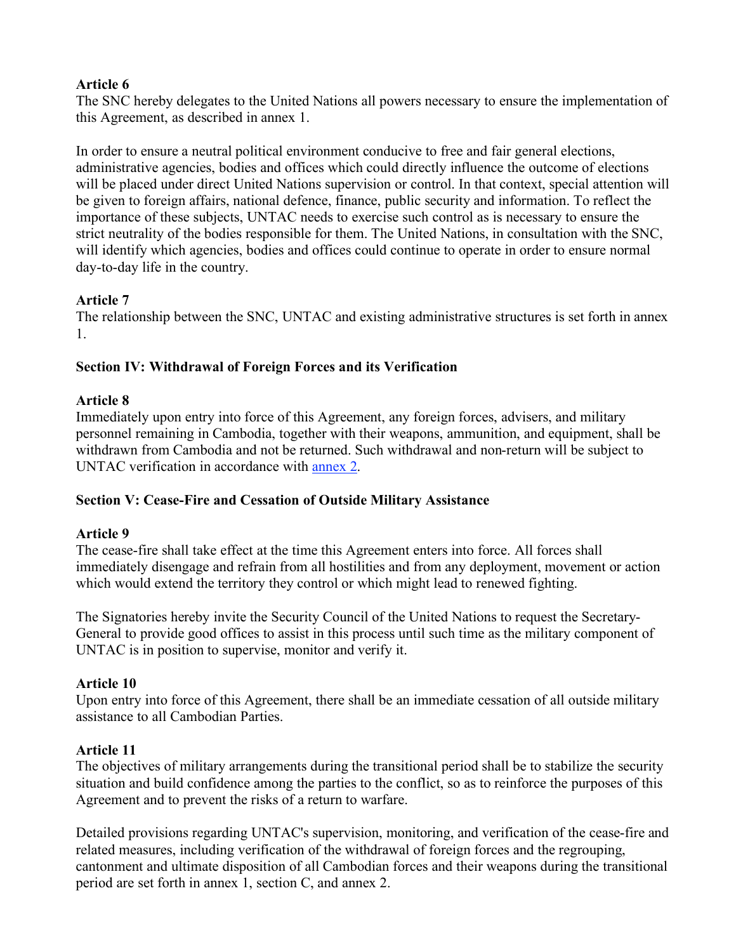### <span id="page-3-0"></span>**Article 6**

The SNC hereby delegates to the United Nations all powers necessary to ensure the implementation of this Agreement, as described in annex 1.

In order to ensure a neutral political environment conducive to free and fair general elections, administrative agencies, bodies and offices which could directly influence the outcome of elections will be placed under direct United Nations supervision or control. In that context, special attention will be given to foreign affairs, national defence, finance, public security and information. To reflect the importance of these subjects, UNTAC needs to exercise such control as is necessary to ensure the strict neutrality of the bodies responsible for them. The United Nations, in consultation with the SNC, will identify which agencies, bodies and offices could continue to operate in order to ensure normal day-to-day life in the country.

### **Article 7**

The relationship between the SNC, UNTAC and existing administrative structures is set forth in annex 1.

# **Section IV: Withdrawal of Foreign Forces and its Verification**

# **Article 8**

Immediately upon entry into force of this Agreement, any foreign forces, advisers, and military personnel remaining in Cambodia, together with their weapons, ammunition, and equipment, shall be withdrawn from Cambodia and not be returned. Such withdrawal and non-return will be subject to UNTAC verification in accordance with [annex 2.](#page-11-0)

# **Section V: Cease-Fire and Cessation of Outside Military Assistance**

#### **Article 9**

The cease-fire shall take effect at the time this Agreement enters into force. All forces shall immediately disengage and refrain from all hostilities and from any deployment, movement or action which would extend the territory they control or which might lead to renewed fighting.

The Signatories hereby invite the Security Council of the United Nations to request the Secretary-General to provide good offices to assist in this process until such time as the military component of UNTAC is in position to supervise, monitor and verify it.

# **Article 10**

Upon entry into force of this Agreement, there shall be an immediate cessation of all outside military assistance to all Cambodian Parties.

# **Article 11**

The objectives of military arrangements during the transitional period shall be to stabilize the security situation and build confidence among the parties to the conflict, so as to reinforce the purposes of this Agreement and to prevent the risks of a return to warfare.

Detailed provisions regarding UNTAC's supervision, monitoring, and verification of the cease-fire and related measures, including verification of the withdrawal of foreign forces and the regrouping, cantonment and ultimate disposition of all Cambodian forces and their weapons during the transitional period are set forth in annex 1, section C, and annex 2.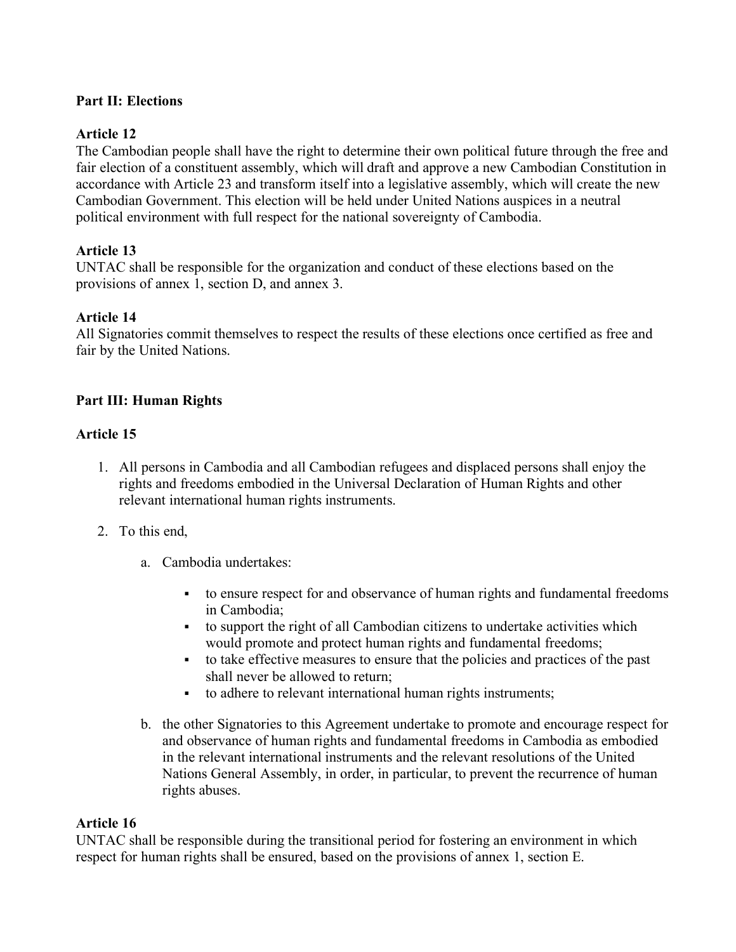# <span id="page-4-0"></span>**Part II: Elections**

# **Article 12**

The Cambodian people shall have the right to determine their own political future through the free and fair election of a constituent assembly, which will draft and approve a new Cambodian Constitution in accordance with Article 23 and transform itself into a legislative assembly, which will create the new Cambodian Government. This election will be held under United Nations auspices in a neutral political environment with full respect for the national sovereignty of Cambodia.

# **Article 13**

UNTAC shall be responsible for the organization and conduct of these elections based on the provisions of annex 1, section D, and annex 3.

# **Article 14**

All Signatories commit themselves to respect the results of these elections once certified as free and fair by the United Nations.

# **Part III: Human Rights**

# **Article 15**

- 1. All persons in Cambodia and all Cambodian refugees and displaced persons shall enjoy the rights and freedoms embodied in the Universal Declaration of Human Rights and other relevant international human rights instruments.
- 2. To this end,
	- a. Cambodia undertakes:
		- to ensure respect for and observance of human rights and fundamental freedoms in Cambodia;
		- to support the right of all Cambodian citizens to undertake activities which would promote and protect human rights and fundamental freedoms;
		- to take effective measures to ensure that the policies and practices of the past shall never be allowed to return;
		- to adhere to relevant international human rights instruments;
	- b. the other Signatories to this Agreement undertake to promote and encourage respect for and observance of human rights and fundamental freedoms in Cambodia as embodied in the relevant international instruments and the relevant resolutions of the United Nations General Assembly, in order, in particular, to prevent the recurrence of human rights abuses.

#### **Article 16**

UNTAC shall be responsible during the transitional period for fostering an environment in which respect for human rights shall be ensured, based on the provisions of annex 1, section E.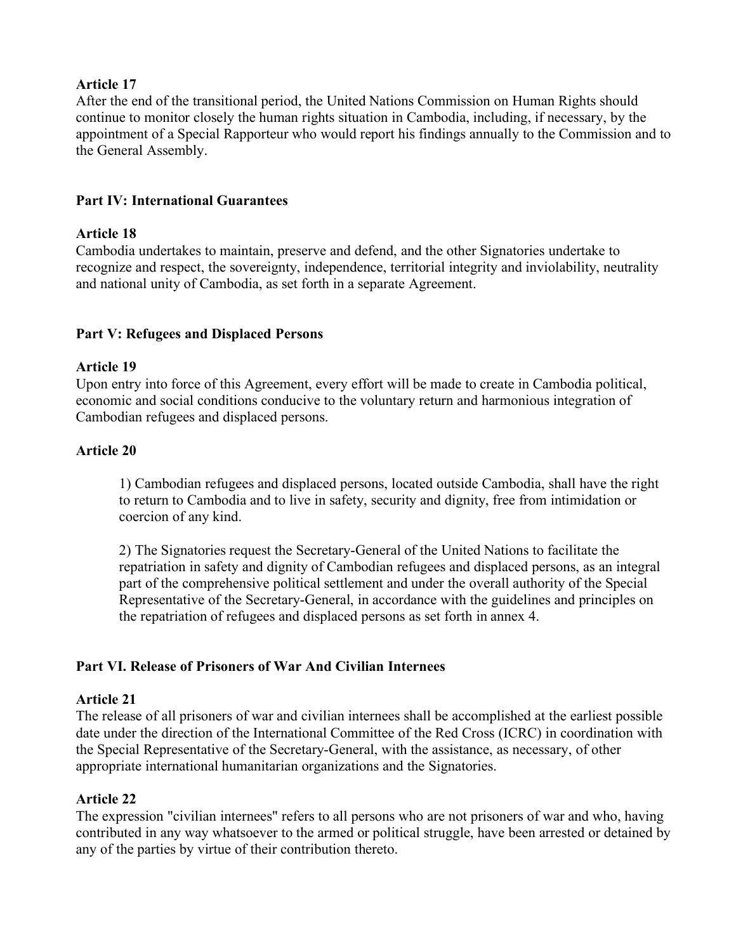### <span id="page-5-0"></span>**Article 17**

After the end of the transitional period, the United Nations Commission on Human Rights should continue to monitor closely the human rights situation in Cambodia, including, if necessary, by the appointment of a Special Rapporteur who would report his findings annually to the Commission and to the General Assembly.

### **Part IV: International Guarantees**

### **Article 18**

Cambodia undertakes to maintain, preserve and defend, and the other Signatories undertake to recognize and respect, the sovereignty, independence, territorial integrity and inviolability, neutrality and national unity of Cambodia, as set forth in a separate Agreement.

### **Part V: Refugees and Displaced Persons**

#### **Article 19**

Upon entry into force of this Agreement, every effort will be made to create in Cambodia political, economic and social conditions conducive to the voluntary return and harmonious integration of Cambodian refugees and displaced persons.

#### **Article 20**

1) Cambodian refugees and displaced persons, located outside Cambodia, shall have the right to return to Cambodia and to live in safety, security and dignity, free from intimidation or coercion of any kind.

2) The Signatories request the Secretary-General of the United Nations to facilitate the repatriation in safety and dignity of Cambodian refugees and displaced persons, as an integral part of the comprehensive political settlement and under the overall authority of the Special Representative of the Secretary-General, in accordance with the guidelines and principles on the repatriation of refugees and displaced persons as set forth in annex 4.

#### **Part VI. Release of Prisoners of War And Civilian Internees**

#### **Article 21**

The release of all prisoners of war and civilian internees shall be accomplished at the earliest possible date under the direction of the International Committee of the Red Cross (ICRC) in coordination with the Special Representative of the Secretary-General, with the assistance, as necessary, of other appropriate international humanitarian organizations and the Signatories.

#### **Article 22**

The expression "civilian internees" refers to all persons who are not prisoners of war and who, having contributed in any way whatsoever to the armed or political struggle, have been arrested or detained by any of the parties by virtue of their contribution thereto.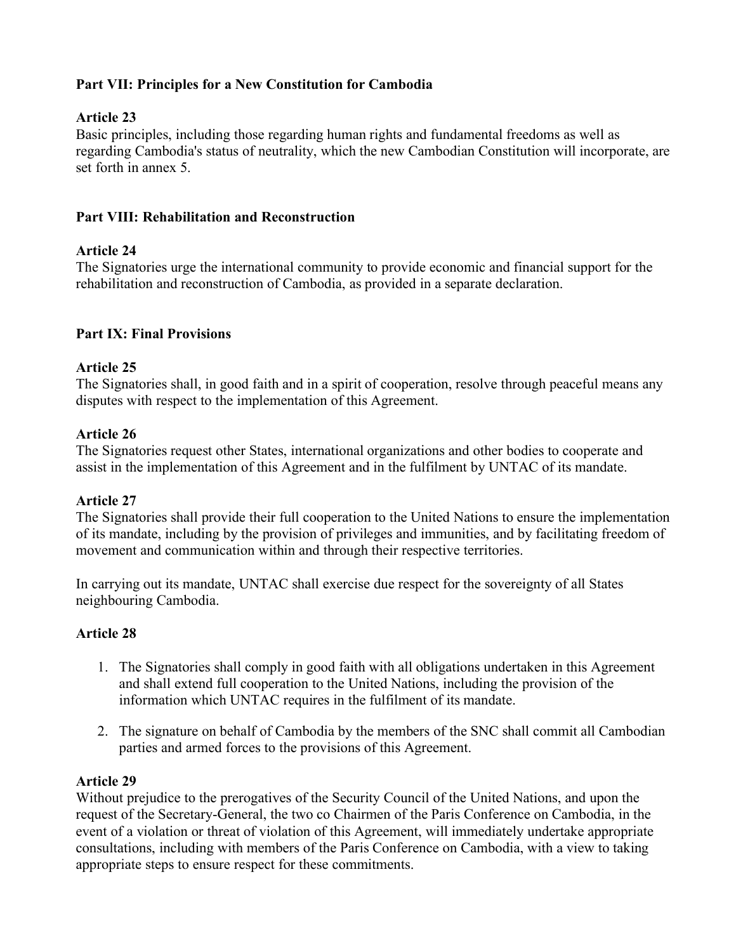# <span id="page-6-0"></span>**Part VII: Principles for a New Constitution for Cambodia**

# **Article 23**

Basic principles, including those regarding human rights and fundamental freedoms as well as regarding Cambodia's status of neutrality, which the new Cambodian Constitution will incorporate, are set forth in annex 5

# **Part VIII: Rehabilitation and Reconstruction**

# **Article 24**

The Signatories urge the international community to provide economic and financial support for the rehabilitation and reconstruction of Cambodia, as provided in a separate declaration.

# **Part IX: Final Provisions**

# **Article 25**

The Signatories shall, in good faith and in a spirit of cooperation, resolve through peaceful means any disputes with respect to the implementation of this Agreement.

# **Article 26**

The Signatories request other States, international organizations and other bodies to cooperate and assist in the implementation of this Agreement and in the fulfilment by UNTAC of its mandate.

# **Article 27**

The Signatories shall provide their full cooperation to the United Nations to ensure the implementation of its mandate, including by the provision of privileges and immunities, and by facilitating freedom of movement and communication within and through their respective territories.

In carrying out its mandate, UNTAC shall exercise due respect for the sovereignty of all States neighbouring Cambodia.

# **Article 28**

- 1. The Signatories shall comply in good faith with all obligations undertaken in this Agreement and shall extend full cooperation to the United Nations, including the provision of the information which UNTAC requires in the fulfilment of its mandate.
- 2. The signature on behalf of Cambodia by the members of the SNC shall commit all Cambodian parties and armed forces to the provisions of this Agreement.

# **Article 29**

Without prejudice to the prerogatives of the Security Council of the United Nations, and upon the request of the Secretary-General, the two co Chairmen of the Paris Conference on Cambodia, in the event of a violation or threat of violation of this Agreement, will immediately undertake appropriate consultations, including with members of the Paris Conference on Cambodia, with a view to taking appropriate steps to ensure respect for these commitments.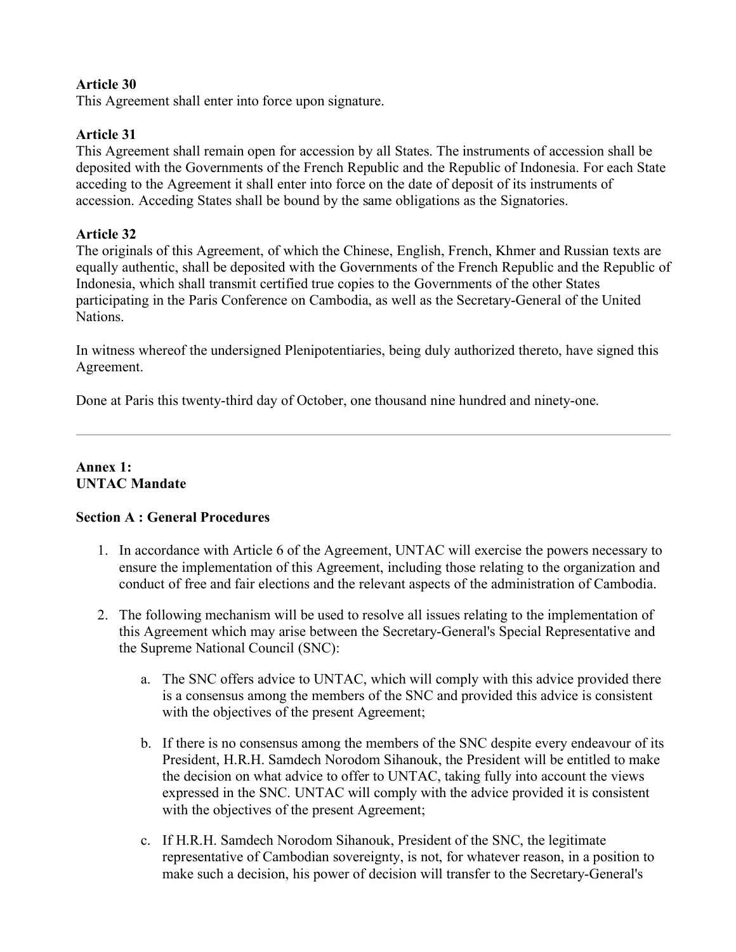# <span id="page-7-0"></span>**Article 30**

This Agreement shall enter into force upon signature.

### **Article 31**

This Agreement shall remain open for accession by all States. The instruments of accession shall be deposited with the Governments of the French Republic and the Republic of Indonesia. For each State acceding to the Agreement it shall enter into force on the date of deposit of its instruments of accession. Acceding States shall be bound by the same obligations as the Signatories.

### **Article 32**

The originals of this Agreement, of which the Chinese, English, French, Khmer and Russian texts are equally authentic, shall be deposited with the Governments of the French Republic and the Republic of Indonesia, which shall transmit certified true copies to the Governments of the other States participating in the Paris Conference on Cambodia, as well as the Secretary-General of the United Nations.

In witness whereof the undersigned Plenipotentiaries, being duly authorized thereto, have signed this Agreement.

Done at Paris this twenty-third day of October, one thousand nine hundred and ninety-one.

### **Annex 1: UNTAC Mandate**

#### **Section A : General Procedures**

- 1. In accordance with Article 6 of the Agreement, UNTAC will exercise the powers necessary to ensure the implementation of this Agreement, including those relating to the organization and conduct of free and fair elections and the relevant aspects of the administration of Cambodia.
- 2. The following mechanism will be used to resolve all issues relating to the implementation of this Agreement which may arise between the Secretary-General's Special Representative and the Supreme National Council (SNC):
	- a. The SNC offers advice to UNTAC, which will comply with this advice provided there is a consensus among the members of the SNC and provided this advice is consistent with the objectives of the present Agreement;
	- b. If there is no consensus among the members of the SNC despite every endeavour of its President, H.R.H. Samdech Norodom Sihanouk, the President will be entitled to make the decision on what advice to offer to UNTAC, taking fully into account the views expressed in the SNC. UNTAC will comply with the advice provided it is consistent with the objectives of the present Agreement;
	- c. If H.R.H. Samdech Norodom Sihanouk, President of the SNC, the legitimate representative of Cambodian sovereignty, is not, for whatever reason, in a position to make such a decision, his power of decision will transfer to the Secretary-General's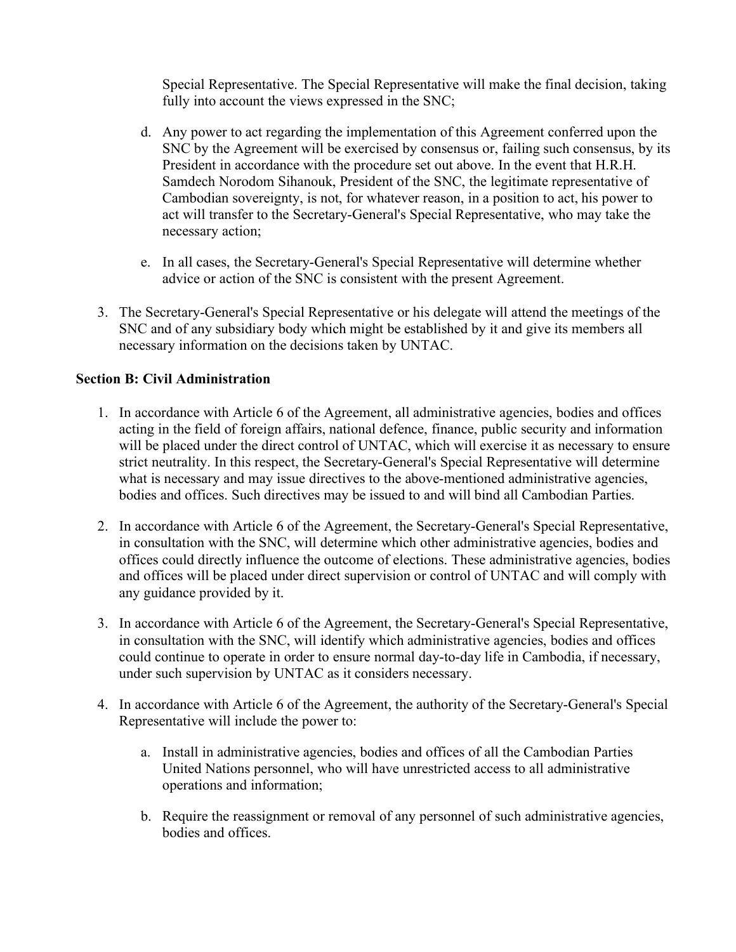Special Representative. The Special Representative will make the final decision, taking fully into account the views expressed in the SNC;

- d. Any power to act regarding the implementation of this Agreement conferred upon the SNC by the Agreement will be exercised by consensus or, failing such consensus, by its President in accordance with the procedure set out above. In the event that H.R.H. Samdech Norodom Sihanouk, President of the SNC, the legitimate representative of Cambodian sovereignty, is not, for whatever reason, in a position to act, his power to act will transfer to the Secretary-General's Special Representative, who may take the necessary action;
- e. In all cases, the Secretary-General's Special Representative will determine whether advice or action of the SNC is consistent with the present Agreement.
- 3. The Secretary-General's Special Representative or his delegate will attend the meetings of the SNC and of any subsidiary body which might be established by it and give its members all necessary information on the decisions taken by UNTAC.

# **Section B: Civil Administration**

- 1. In accordance with Article 6 of the Agreement, all administrative agencies, bodies and offices acting in the field of foreign affairs, national defence, finance, public security and information will be placed under the direct control of UNTAC, which will exercise it as necessary to ensure strict neutrality. In this respect, the Secretary-General's Special Representative will determine what is necessary and may issue directives to the above-mentioned administrative agencies, bodies and offices. Such directives may be issued to and will bind all Cambodian Parties.
- 2. In accordance with Article 6 of the Agreement, the Secretary-General's Special Representative, in consultation with the SNC, will determine which other administrative agencies, bodies and offices could directly influence the outcome of elections. These administrative agencies, bodies and offices will be placed under direct supervision or control of UNTAC and will comply with any guidance provided by it.
- 3. In accordance with Article 6 of the Agreement, the Secretary-General's Special Representative, in consultation with the SNC, will identify which administrative agencies, bodies and offices could continue to operate in order to ensure normal day-to-day life in Cambodia, if necessary, under such supervision by UNTAC as it considers necessary.
- 4. In accordance with Article 6 of the Agreement, the authority of the Secretary-General's Special Representative will include the power to:
	- a. Install in administrative agencies, bodies and offices of all the Cambodian Parties United Nations personnel, who will have unrestricted access to all administrative operations and information;
	- b. Require the reassignment or removal of any personnel of such administrative agencies, bodies and offices.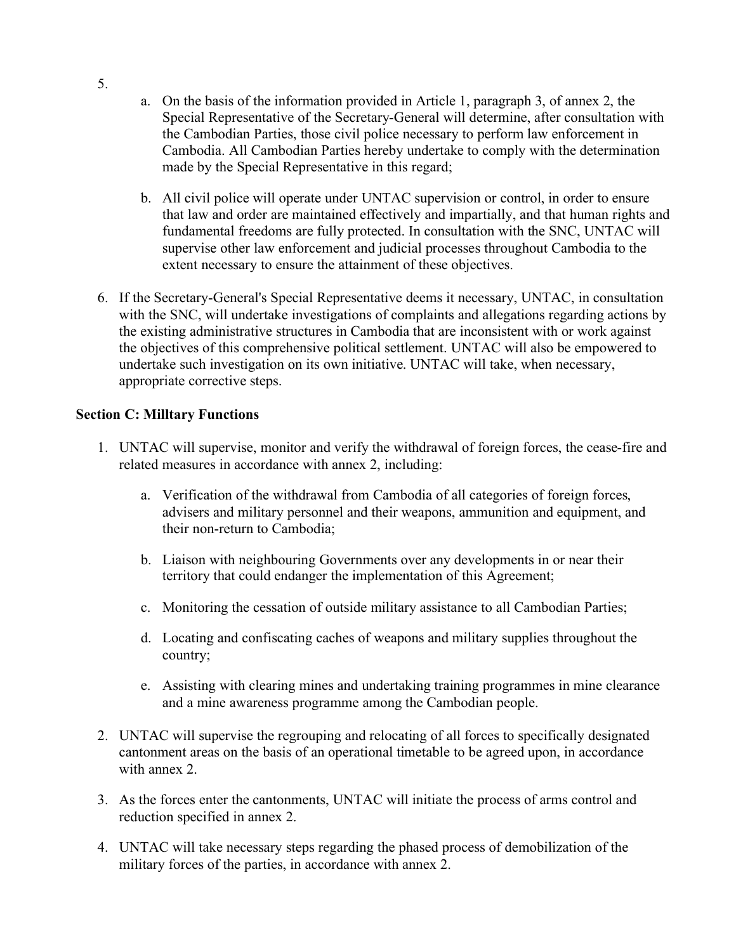- a. On the basis of the information provided in Article 1, paragraph 3, of annex 2, the Special Representative of the Secretary-General will determine, after consultation with the Cambodian Parties, those civil police necessary to perform law enforcement in Cambodia. All Cambodian Parties hereby undertake to comply with the determination made by the Special Representative in this regard;
- b. All civil police will operate under UNTAC supervision or control, in order to ensure that law and order are maintained effectively and impartially, and that human rights and fundamental freedoms are fully protected. In consultation with the SNC, UNTAC will supervise other law enforcement and judicial processes throughout Cambodia to the extent necessary to ensure the attainment of these objectives.
- 6. If the Secretary-General's Special Representative deems it necessary, UNTAC, in consultation with the SNC, will undertake investigations of complaints and allegations regarding actions by the existing administrative structures in Cambodia that are inconsistent with or work against the objectives of this comprehensive political settlement. UNTAC will also be empowered to undertake such investigation on its own initiative. UNTAC will take, when necessary, appropriate corrective steps.

### **Section C: Milltary Functions**

- 1. UNTAC will supervise, monitor and verify the withdrawal of foreign forces, the cease-fire and related measures in accordance with annex 2, including:
	- a. Verification of the withdrawal from Cambodia of all categories of foreign forces, advisers and military personnel and their weapons, ammunition and equipment, and their non-return to Cambodia;
	- b. Liaison with neighbouring Governments over any developments in or near their territory that could endanger the implementation of this Agreement;
	- c. Monitoring the cessation of outside military assistance to all Cambodian Parties;
	- d. Locating and confiscating caches of weapons and military supplies throughout the country;
	- e. Assisting with clearing mines and undertaking training programmes in mine clearance and a mine awareness programme among the Cambodian people.
- 2. UNTAC will supervise the regrouping and relocating of all forces to specifically designated cantonment areas on the basis of an operational timetable to be agreed upon, in accordance with annex 2.
- 3. As the forces enter the cantonments, UNTAC will initiate the process of arms control and reduction specified in annex 2.
- 4. UNTAC will take necessary steps regarding the phased process of demobilization of the military forces of the parties, in accordance with annex 2.

5.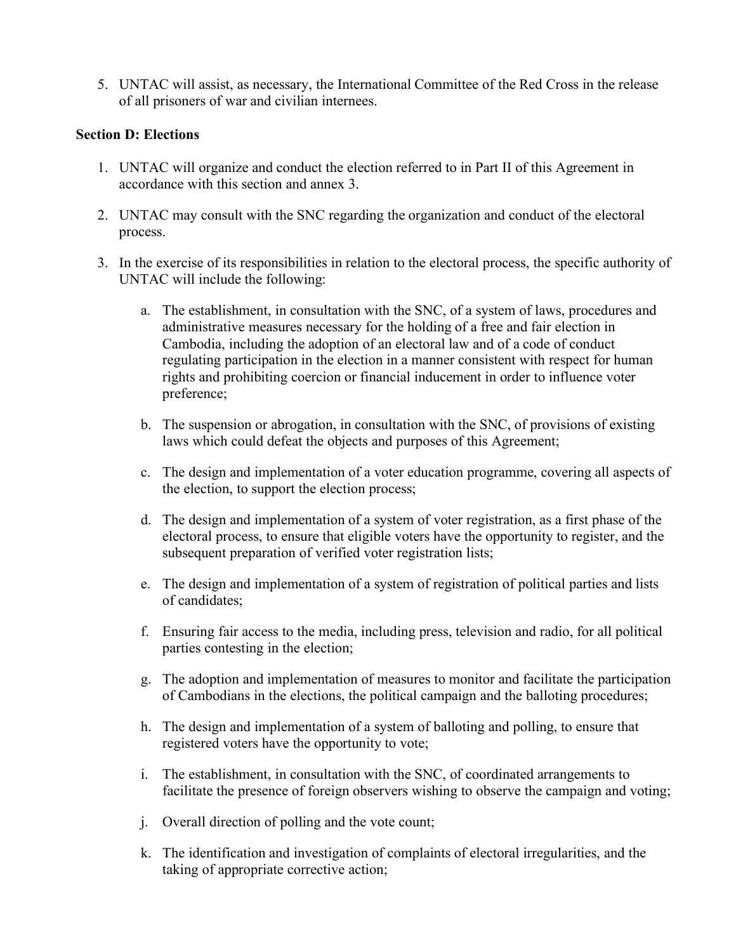5. UNTAC will assist, as necessary, the International Committee of the Red Cross in the release of all prisoners of war and civilian internees.

### **Section D: Elections**

- 1. UNTAC will organize and conduct the election referred to in Part II of this Agreement in accordance with this section and annex 3.
- 2. UNTAC may consult with the SNC regarding the organization and conduct of the electoral process.
- 3. In the exercise of its responsibilities in relation to the electoral process, the specific authority of UNTAC will include the following:
	- a. The establishment, in consultation with the SNC, of a system of laws, procedures and administrative measures necessary for the holding of a free and fair election in Cambodia, including the adoption of an electoral law and of a code of conduct regulating participation in the election in a manner consistent with respect for human rights and prohibiting coercion or financial inducement in order to influence voter preference;
	- b. The suspension or abrogation, in consultation with the SNC, of provisions of existing laws which could defeat the objects and purposes of this Agreement;
	- c. The design and implementation of a voter education programme, covering all aspects of the election, to support the election process;
	- d. The design and implementation of a system of voter registration, as a first phase of the electoral process, to ensure that eligible voters have the opportunity to register, and the subsequent preparation of verified voter registration lists;
	- e. The design and implementation of a system of registration of political parties and lists of candidates;
	- f. Ensuring fair access to the media, including press, television and radio, for all political parties contesting in the election;
	- g. The adoption and implementation of measures to monitor and facilitate the participation of Cambodians in the elections, the political campaign and the balloting procedures;
	- h. The design and implementation of a system of balloting and polling, to ensure that registered voters have the opportunity to vote;
	- i. The establishment, in consultation with the SNC, of coordinated arrangements to facilitate the presence of foreign observers wishing to observe the campaign and voting;
	- j. Overall direction of polling and the vote count;
	- k. The identification and investigation of complaints of electoral irregularities, and the taking of appropriate corrective action;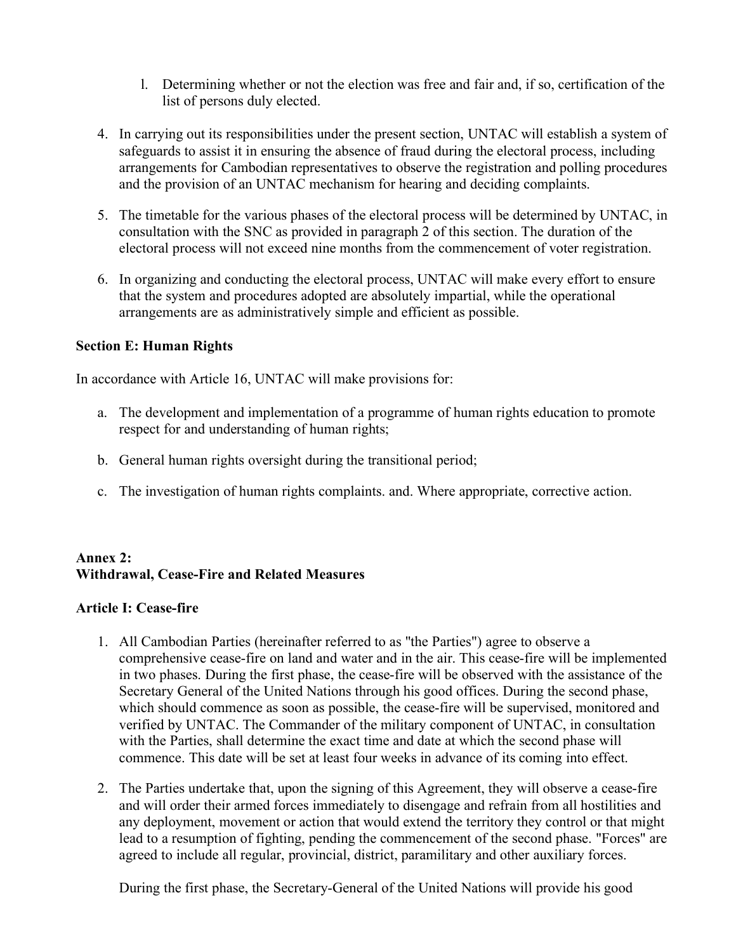- l. Determining whether or not the election was free and fair and, if so, certification of the list of persons duly elected.
- <span id="page-11-0"></span>4. In carrying out its responsibilities under the present section, UNTAC will establish a system of safeguards to assist it in ensuring the absence of fraud during the electoral process, including arrangements for Cambodian representatives to observe the registration and polling procedures and the provision of an UNTAC mechanism for hearing and deciding complaints.
- 5. The timetable for the various phases of the electoral process will be determined by UNTAC, in consultation with the SNC as provided in paragraph 2 of this section. The duration of the electoral process will not exceed nine months from the commencement of voter registration.
- 6. In organizing and conducting the electoral process, UNTAC will make every effort to ensure that the system and procedures adopted are absolutely impartial, while the operational arrangements are as administratively simple and efficient as possible.

### **Section E: Human Rights**

In accordance with Article 16, UNTAC will make provisions for:

- a. The development and implementation of a programme of human rights education to promote respect for and understanding of human rights;
- b. General human rights oversight during the transitional period;
- c. The investigation of human rights complaints. and. Where appropriate, corrective action.

# **Annex 2: Withdrawal, Cease-Fire and Related Measures**

#### **Article I: Cease-fire**

- 1. All Cambodian Parties (hereinafter referred to as "the Parties") agree to observe a comprehensive cease-fire on land and water and in the air. This cease-fire will be implemented in two phases. During the first phase, the cease-fire will be observed with the assistance of the Secretary General of the United Nations through his good offices. During the second phase, which should commence as soon as possible, the cease-fire will be supervised, monitored and verified by UNTAC. The Commander of the military component of UNTAC, in consultation with the Parties, shall determine the exact time and date at which the second phase will commence. This date will be set at least four weeks in advance of its coming into effect.
- 2. The Parties undertake that, upon the signing of this Agreement, they will observe a cease-fire and will order their armed forces immediately to disengage and refrain from all hostilities and any deployment, movement or action that would extend the territory they control or that might lead to a resumption of fighting, pending the commencement of the second phase. "Forces" are agreed to include all regular, provincial, district, paramilitary and other auxiliary forces.

During the first phase, the Secretary-General of the United Nations will provide his good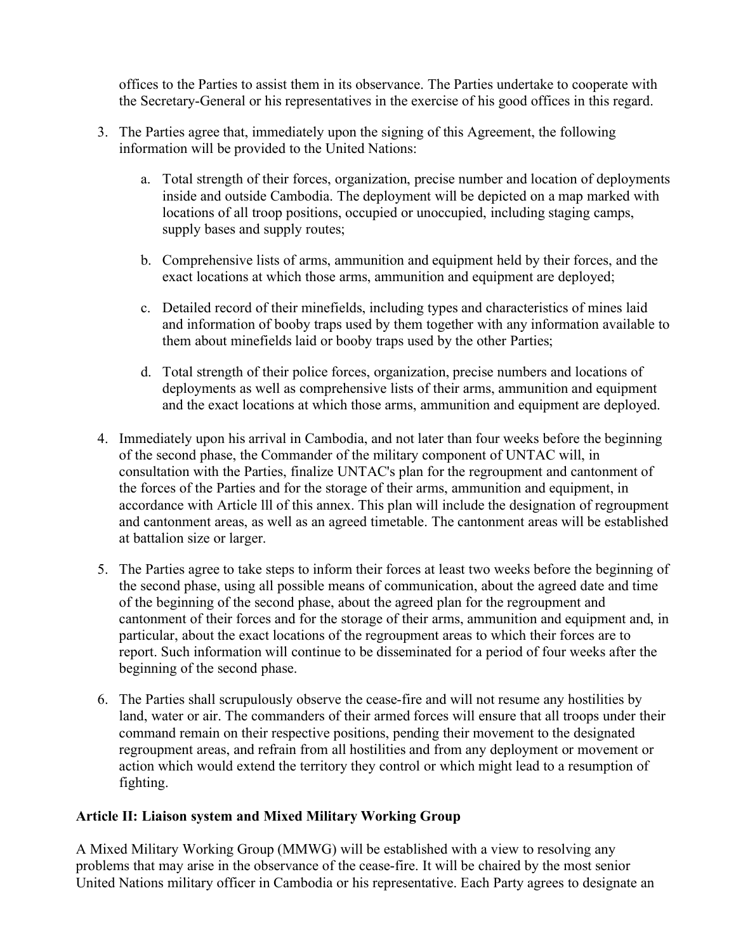offices to the Parties to assist them in its observance. The Parties undertake to cooperate with the Secretary-General or his representatives in the exercise of his good offices in this regard.

- 3. The Parties agree that, immediately upon the signing of this Agreement, the following information will be provided to the United Nations:
	- a. Total strength of their forces, organization, precise number and location of deployments inside and outside Cambodia. The deployment will be depicted on a map marked with locations of all troop positions, occupied or unoccupied, including staging camps, supply bases and supply routes;
	- b. Comprehensive lists of arms, ammunition and equipment held by their forces, and the exact locations at which those arms, ammunition and equipment are deployed;
	- c. Detailed record of their minefields, including types and characteristics of mines laid and information of booby traps used by them together with any information available to them about minefields laid or booby traps used by the other Parties;
	- d. Total strength of their police forces, organization, precise numbers and locations of deployments as well as comprehensive lists of their arms, ammunition and equipment and the exact locations at which those arms, ammunition and equipment are deployed.
- 4. Immediately upon his arrival in Cambodia, and not later than four weeks before the beginning of the second phase, the Commander of the military component of UNTAC will, in consultation with the Parties, finalize UNTAC's plan for the regroupment and cantonment of the forces of the Parties and for the storage of their arms, ammunition and equipment, in accordance with Article lll of this annex. This plan will include the designation of regroupment and cantonment areas, as well as an agreed timetable. The cantonment areas will be established at battalion size or larger.
- 5. The Parties agree to take steps to inform their forces at least two weeks before the beginning of the second phase, using all possible means of communication, about the agreed date and time of the beginning of the second phase, about the agreed plan for the regroupment and cantonment of their forces and for the storage of their arms, ammunition and equipment and, in particular, about the exact locations of the regroupment areas to which their forces are to report. Such information will continue to be disseminated for a period of four weeks after the beginning of the second phase.
- 6. The Parties shall scrupulously observe the cease-fire and will not resume any hostilities by land, water or air. The commanders of their armed forces will ensure that all troops under their command remain on their respective positions, pending their movement to the designated regroupment areas, and refrain from all hostilities and from any deployment or movement or action which would extend the territory they control or which might lead to a resumption of fighting.

# **Article II: Liaison system and Mixed Military Working Group**

A Mixed Military Working Group (MMWG) will be established with a view to resolving any problems that may arise in the observance of the cease-fire. It will be chaired by the most senior United Nations military officer in Cambodia or his representative. Each Party agrees to designate an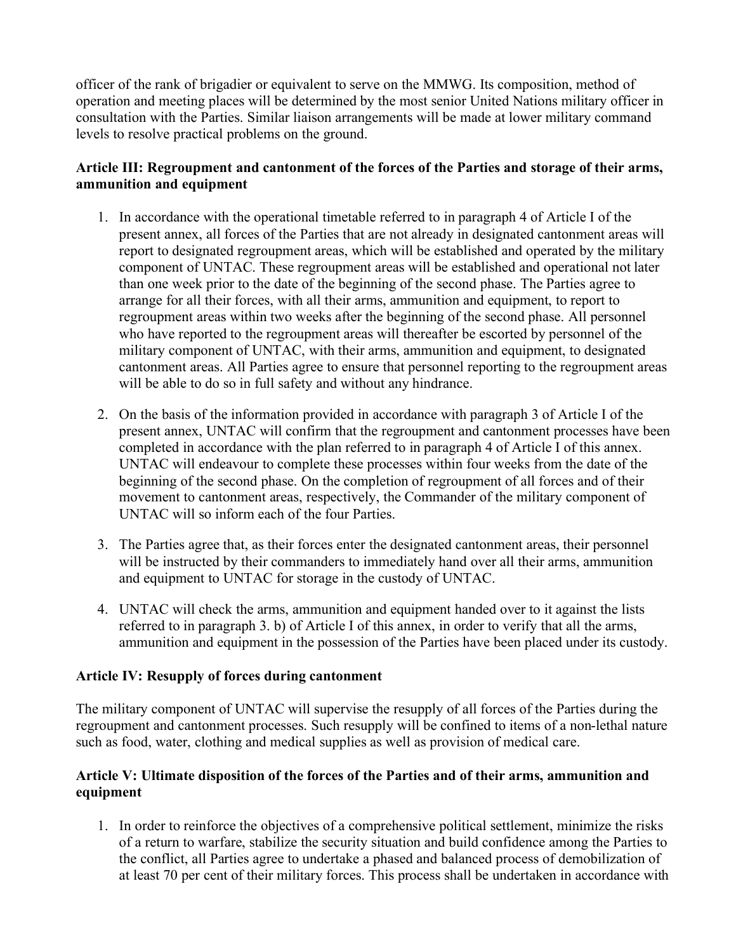officer of the rank of brigadier or equivalent to serve on the MMWG. Its composition, method of operation and meeting places will be determined by the most senior United Nations military officer in consultation with the Parties. Similar liaison arrangements will be made at lower military command levels to resolve practical problems on the ground.

# **Article III: Regroupment and cantonment of the forces of the Parties and storage of their arms, ammunition and equipment**

- 1. In accordance with the operational timetable referred to in paragraph 4 of Article I of the present annex, all forces of the Parties that are not already in designated cantonment areas will report to designated regroupment areas, which will be established and operated by the military component of UNTAC. These regroupment areas will be established and operational not later than one week prior to the date of the beginning of the second phase. The Parties agree to arrange for all their forces, with all their arms, ammunition and equipment, to report to regroupment areas within two weeks after the beginning of the second phase. All personnel who have reported to the regroupment areas will thereafter be escorted by personnel of the military component of UNTAC, with their arms, ammunition and equipment, to designated cantonment areas. All Parties agree to ensure that personnel reporting to the regroupment areas will be able to do so in full safety and without any hindrance.
- 2. On the basis of the information provided in accordance with paragraph 3 of Article I of the present annex, UNTAC will confirm that the regroupment and cantonment processes have been completed in accordance with the plan referred to in paragraph 4 of Article I of this annex. UNTAC will endeavour to complete these processes within four weeks from the date of the beginning of the second phase. On the completion of regroupment of all forces and of their movement to cantonment areas, respectively, the Commander of the military component of UNTAC will so inform each of the four Parties.
- 3. The Parties agree that, as their forces enter the designated cantonment areas, their personnel will be instructed by their commanders to immediately hand over all their arms, ammunition and equipment to UNTAC for storage in the custody of UNTAC.
- 4. UNTAC will check the arms, ammunition and equipment handed over to it against the lists referred to in paragraph 3. b) of Article I of this annex, in order to verify that all the arms, ammunition and equipment in the possession of the Parties have been placed under its custody.

# **Article IV: Resupply of forces during cantonment**

The military component of UNTAC will supervise the resupply of all forces of the Parties during the regroupment and cantonment processes. Such resupply will be confined to items of a non-lethal nature such as food, water, clothing and medical supplies as well as provision of medical care.

# **Article V: Ultimate disposition of the forces of the Parties and of their arms, ammunition and equipment**

1. In order to reinforce the objectives of a comprehensive political settlement, minimize the risks of a return to warfare, stabilize the security situation and build confidence among the Parties to the conflict, all Parties agree to undertake a phased and balanced process of demobilization of at least 70 per cent of their military forces. This process shall be undertaken in accordance with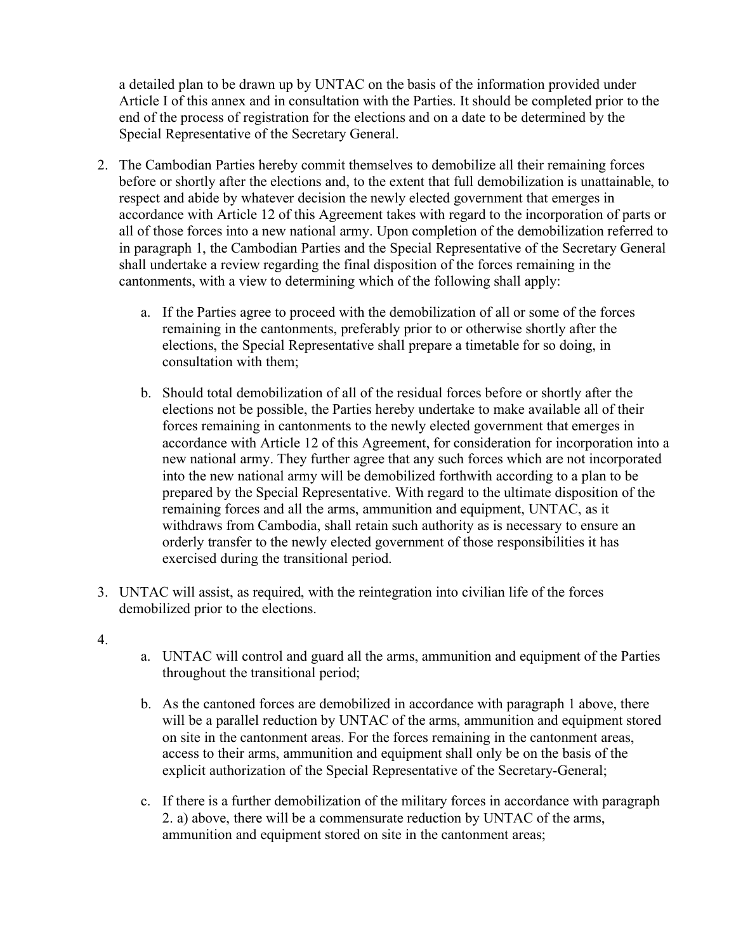a detailed plan to be drawn up by UNTAC on the basis of the information provided under Article I of this annex and in consultation with the Parties. It should be completed prior to the end of the process of registration for the elections and on a date to be determined by the Special Representative of the Secretary General.

- 2. The Cambodian Parties hereby commit themselves to demobilize all their remaining forces before or shortly after the elections and, to the extent that full demobilization is unattainable, to respect and abide by whatever decision the newly elected government that emerges in accordance with Article 12 of this Agreement takes with regard to the incorporation of parts or all of those forces into a new national army. Upon completion of the demobilization referred to in paragraph 1, the Cambodian Parties and the Special Representative of the Secretary General shall undertake a review regarding the final disposition of the forces remaining in the cantonments, with a view to determining which of the following shall apply:
	- a. If the Parties agree to proceed with the demobilization of all or some of the forces remaining in the cantonments, preferably prior to or otherwise shortly after the elections, the Special Representative shall prepare a timetable for so doing, in consultation with them;
	- b. Should total demobilization of all of the residual forces before or shortly after the elections not be possible, the Parties hereby undertake to make available all of their forces remaining in cantonments to the newly elected government that emerges in accordance with Article 12 of this Agreement, for consideration for incorporation into a new national army. They further agree that any such forces which are not incorporated into the new national army will be demobilized forthwith according to a plan to be prepared by the Special Representative. With regard to the ultimate disposition of the remaining forces and all the arms, ammunition and equipment, UNTAC, as it withdraws from Cambodia, shall retain such authority as is necessary to ensure an orderly transfer to the newly elected government of those responsibilities it has exercised during the transitional period.
- 3. UNTAC will assist, as required, with the reintegration into civilian life of the forces demobilized prior to the elections.
- 4.
- a. UNTAC will control and guard all the arms, ammunition and equipment of the Parties throughout the transitional period;
- b. As the cantoned forces are demobilized in accordance with paragraph 1 above, there will be a parallel reduction by UNTAC of the arms, ammunition and equipment stored on site in the cantonment areas. For the forces remaining in the cantonment areas, access to their arms, ammunition and equipment shall only be on the basis of the explicit authorization of the Special Representative of the Secretary-General;
- c. If there is a further demobilization of the military forces in accordance with paragraph 2. a) above, there will be a commensurate reduction by UNTAC of the arms, ammunition and equipment stored on site in the cantonment areas;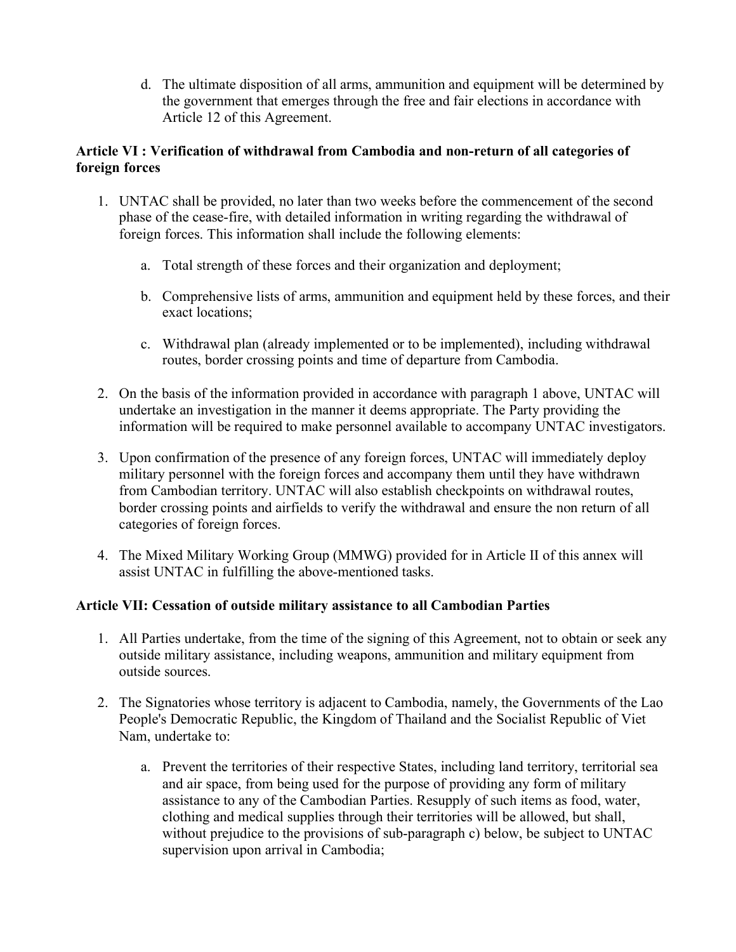d. The ultimate disposition of all arms, ammunition and equipment will be determined by the government that emerges through the free and fair elections in accordance with Article 12 of this Agreement.

# **Article VI : Verification of withdrawal from Cambodia and non-return of all categories of foreign forces**

- 1. UNTAC shall be provided, no later than two weeks before the commencement of the second phase of the cease-fire, with detailed information in writing regarding the withdrawal of foreign forces. This information shall include the following elements:
	- a. Total strength of these forces and their organization and deployment;
	- b. Comprehensive lists of arms, ammunition and equipment held by these forces, and their exact locations;
	- c. Withdrawal plan (already implemented or to be implemented), including withdrawal routes, border crossing points and time of departure from Cambodia.
- 2. On the basis of the information provided in accordance with paragraph 1 above, UNTAC will undertake an investigation in the manner it deems appropriate. The Party providing the information will be required to make personnel available to accompany UNTAC investigators.
- 3. Upon confirmation of the presence of any foreign forces, UNTAC will immediately deploy military personnel with the foreign forces and accompany them until they have withdrawn from Cambodian territory. UNTAC will also establish checkpoints on withdrawal routes, border crossing points and airfields to verify the withdrawal and ensure the non return of all categories of foreign forces.
- 4. The Mixed Military Working Group (MMWG) provided for in Article II of this annex will assist UNTAC in fulfilling the above-mentioned tasks.

# **Article VII: Cessation of outside military assistance to all Cambodian Parties**

- 1. All Parties undertake, from the time of the signing of this Agreement, not to obtain or seek any outside military assistance, including weapons, ammunition and military equipment from outside sources.
- 2. The Signatories whose territory is adjacent to Cambodia, namely, the Governments of the Lao People's Democratic Republic, the Kingdom of Thailand and the Socialist Republic of Viet Nam, undertake to:
	- a. Prevent the territories of their respective States, including land territory, territorial sea and air space, from being used for the purpose of providing any form of military assistance to any of the Cambodian Parties. Resupply of such items as food, water, clothing and medical supplies through their territories will be allowed, but shall, without prejudice to the provisions of sub-paragraph c) below, be subject to UNTAC supervision upon arrival in Cambodia;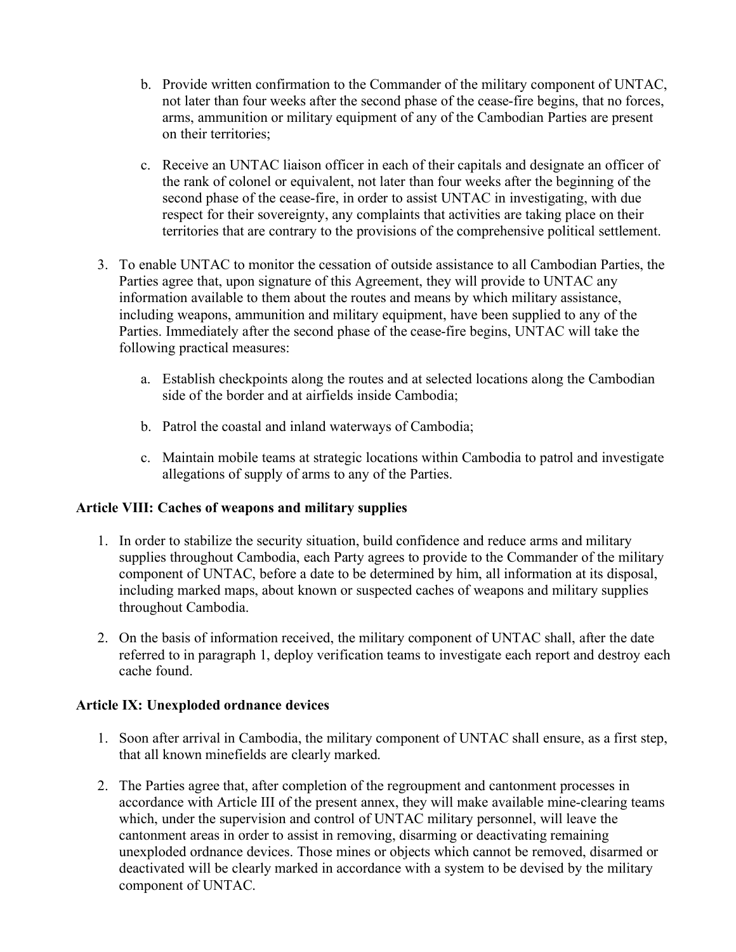- b. Provide written confirmation to the Commander of the military component of UNTAC, not later than four weeks after the second phase of the cease-fire begins, that no forces, arms, ammunition or military equipment of any of the Cambodian Parties are present on their territories;
- c. Receive an UNTAC liaison officer in each of their capitals and designate an officer of the rank of colonel or equivalent, not later than four weeks after the beginning of the second phase of the cease-fire, in order to assist UNTAC in investigating, with due respect for their sovereignty, any complaints that activities are taking place on their territories that are contrary to the provisions of the comprehensive political settlement.
- 3. To enable UNTAC to monitor the cessation of outside assistance to all Cambodian Parties, the Parties agree that, upon signature of this Agreement, they will provide to UNTAC any information available to them about the routes and means by which military assistance, including weapons, ammunition and military equipment, have been supplied to any of the Parties. Immediately after the second phase of the cease-fire begins, UNTAC will take the following practical measures:
	- a. Establish checkpoints along the routes and at selected locations along the Cambodian side of the border and at airfields inside Cambodia;
	- b. Patrol the coastal and inland waterways of Cambodia;
	- c. Maintain mobile teams at strategic locations within Cambodia to patrol and investigate allegations of supply of arms to any of the Parties.

# **Article VIII: Caches of weapons and military supplies**

- 1. In order to stabilize the security situation, build confidence and reduce arms and military supplies throughout Cambodia, each Party agrees to provide to the Commander of the military component of UNTAC, before a date to be determined by him, all information at its disposal, including marked maps, about known or suspected caches of weapons and military supplies throughout Cambodia.
- 2. On the basis of information received, the military component of UNTAC shall, after the date referred to in paragraph 1, deploy verification teams to investigate each report and destroy each cache found.

#### **Article IX: Unexploded ordnance devices**

- 1. Soon after arrival in Cambodia, the military component of UNTAC shall ensure, as a first step, that all known minefields are clearly marked.
- 2. The Parties agree that, after completion of the regroupment and cantonment processes in accordance with Article III of the present annex, they will make available mine-clearing teams which, under the supervision and control of UNTAC military personnel, will leave the cantonment areas in order to assist in removing, disarming or deactivating remaining unexploded ordnance devices. Those mines or objects which cannot be removed, disarmed or deactivated will be clearly marked in accordance with a system to be devised by the military component of UNTAC.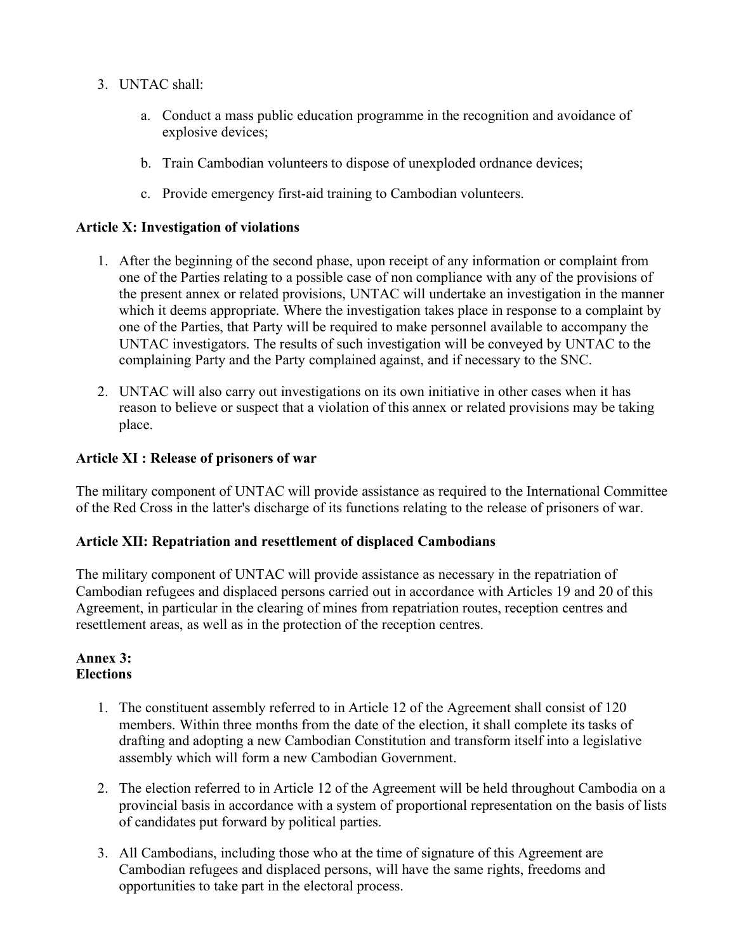- 3. UNTAC shall:
	- a. Conduct a mass public education programme in the recognition and avoidance of explosive devices;
	- b. Train Cambodian volunteers to dispose of unexploded ordnance devices;
	- c. Provide emergency first-aid training to Cambodian volunteers.

# **Article X: Investigation of violations**

- 1. After the beginning of the second phase, upon receipt of any information or complaint from one of the Parties relating to a possible case of non compliance with any of the provisions of the present annex or related provisions, UNTAC will undertake an investigation in the manner which it deems appropriate. Where the investigation takes place in response to a complaint by one of the Parties, that Party will be required to make personnel available to accompany the UNTAC investigators. The results of such investigation will be conveyed by UNTAC to the complaining Party and the Party complained against, and if necessary to the SNC.
- 2. UNTAC will also carry out investigations on its own initiative in other cases when it has reason to believe or suspect that a violation of this annex or related provisions may be taking place.

# **Article XI : Release of prisoners of war**

The military component of UNTAC will provide assistance as required to the International Committee of the Red Cross in the latter's discharge of its functions relating to the release of prisoners of war.

# **Article XII: Repatriation and resettlement of displaced Cambodians**

The military component of UNTAC will provide assistance as necessary in the repatriation of Cambodian refugees and displaced persons carried out in accordance with Articles 19 and 20 of this Agreement, in particular in the clearing of mines from repatriation routes, reception centres and resettlement areas, as well as in the protection of the reception centres.

### **Annex 3: Elections**

- 1. The constituent assembly referred to in Article 12 of the Agreement shall consist of 120 members. Within three months from the date of the election, it shall complete its tasks of drafting and adopting a new Cambodian Constitution and transform itself into a legislative assembly which will form a new Cambodian Government.
- 2. The election referred to in Article 12 of the Agreement will be held throughout Cambodia on a provincial basis in accordance with a system of proportional representation on the basis of lists of candidates put forward by political parties.
- 3. All Cambodians, including those who at the time of signature of this Agreement are Cambodian refugees and displaced persons, will have the same rights, freedoms and opportunities to take part in the electoral process.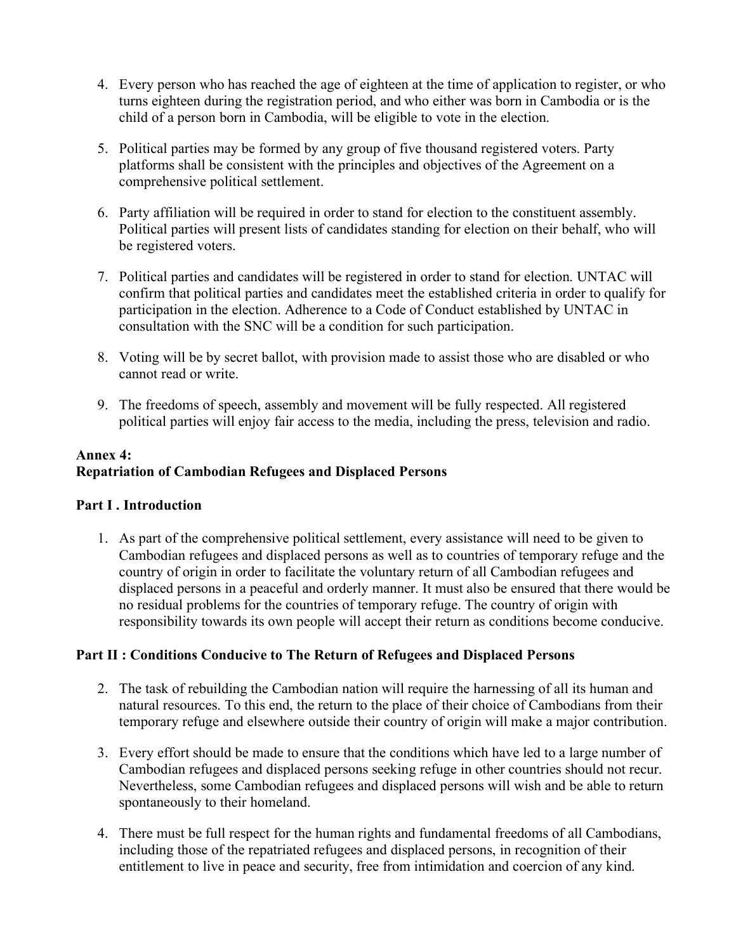- <span id="page-18-0"></span>4. Every person who has reached the age of eighteen at the time of application to register, or who turns eighteen during the registration period, and who either was born in Cambodia or is the child of a person born in Cambodia, will be eligible to vote in the election.
- 5. Political parties may be formed by any group of five thousand registered voters. Party platforms shall be consistent with the principles and objectives of the Agreement on a comprehensive political settlement.
- 6. Party affiliation will be required in order to stand for election to the constituent assembly. Political parties will present lists of candidates standing for election on their behalf, who will be registered voters.
- 7. Political parties and candidates will be registered in order to stand for election. UNTAC will confirm that political parties and candidates meet the established criteria in order to qualify for participation in the election. Adherence to a Code of Conduct established by UNTAC in consultation with the SNC will be a condition for such participation.
- 8. Voting will be by secret ballot, with provision made to assist those who are disabled or who cannot read or write.
- 9. The freedoms of speech, assembly and movement will be fully respected. All registered political parties will enjoy fair access to the media, including the press, television and radio.

# **Annex 4: Repatriation of Cambodian Refugees and Displaced Persons**

# **Part I . Introduction**

1. As part of the comprehensive political settlement, every assistance will need to be given to Cambodian refugees and displaced persons as well as to countries of temporary refuge and the country of origin in order to facilitate the voluntary return of all Cambodian refugees and displaced persons in a peaceful and orderly manner. It must also be ensured that there would be no residual problems for the countries of temporary refuge. The country of origin with responsibility towards its own people will accept their return as conditions become conducive.

# **Part II : Conditions Conducive to The Return of Refugees and Displaced Persons**

- 2. The task of rebuilding the Cambodian nation will require the harnessing of all its human and natural resources. To this end, the return to the place of their choice of Cambodians from their temporary refuge and elsewhere outside their country of origin will make a major contribution.
- 3. Every effort should be made to ensure that the conditions which have led to a large number of Cambodian refugees and displaced persons seeking refuge in other countries should not recur. Nevertheless, some Cambodian refugees and displaced persons will wish and be able to return spontaneously to their homeland.
- 4. There must be full respect for the human rights and fundamental freedoms of all Cambodians, including those of the repatriated refugees and displaced persons, in recognition of their entitlement to live in peace and security, free from intimidation and coercion of any kind.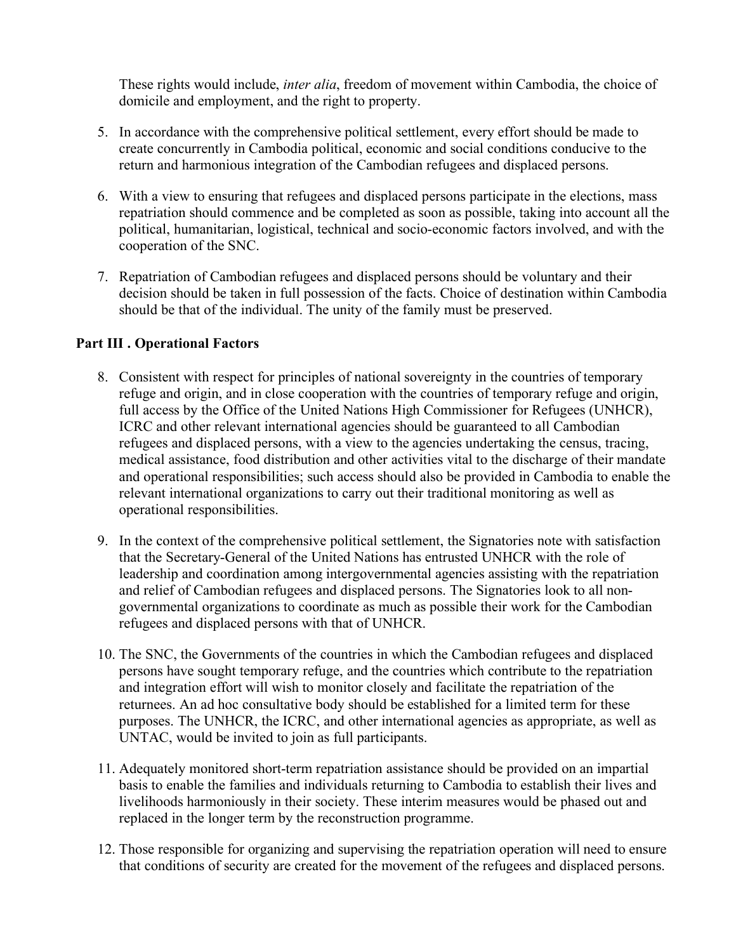These rights would include, *inter alia*, freedom of movement within Cambodia, the choice of domicile and employment, and the right to property.

- 5. In accordance with the comprehensive political settlement, every effort should be made to create concurrently in Cambodia political, economic and social conditions conducive to the return and harmonious integration of the Cambodian refugees and displaced persons.
- 6. With a view to ensuring that refugees and displaced persons participate in the elections, mass repatriation should commence and be completed as soon as possible, taking into account all the political, humanitarian, logistical, technical and socio-economic factors involved, and with the cooperation of the SNC.
- 7. Repatriation of Cambodian refugees and displaced persons should be voluntary and their decision should be taken in full possession of the facts. Choice of destination within Cambodia should be that of the individual. The unity of the family must be preserved.

# **Part III . Operational Factors**

- 8. Consistent with respect for principles of national sovereignty in the countries of temporary refuge and origin, and in close cooperation with the countries of temporary refuge and origin, full access by the Office of the United Nations High Commissioner for Refugees (UNHCR), ICRC and other relevant international agencies should be guaranteed to all Cambodian refugees and displaced persons, with a view to the agencies undertaking the census, tracing, medical assistance, food distribution and other activities vital to the discharge of their mandate and operational responsibilities; such access should also be provided in Cambodia to enable the relevant international organizations to carry out their traditional monitoring as well as operational responsibilities.
- 9. In the context of the comprehensive political settlement, the Signatories note with satisfaction that the Secretary-General of the United Nations has entrusted UNHCR with the role of leadership and coordination among intergovernmental agencies assisting with the repatriation and relief of Cambodian refugees and displaced persons. The Signatories look to all nongovernmental organizations to coordinate as much as possible their work for the Cambodian refugees and displaced persons with that of UNHCR.
- 10. The SNC, the Governments of the countries in which the Cambodian refugees and displaced persons have sought temporary refuge, and the countries which contribute to the repatriation and integration effort will wish to monitor closely and facilitate the repatriation of the returnees. An ad hoc consultative body should be established for a limited term for these purposes. The UNHCR, the ICRC, and other international agencies as appropriate, as well as UNTAC, would be invited to join as full participants.
- 11. Adequately monitored short-term repatriation assistance should be provided on an impartial basis to enable the families and individuals returning to Cambodia to establish their lives and livelihoods harmoniously in their society. These interim measures would be phased out and replaced in the longer term by the reconstruction programme.
- 12. Those responsible for organizing and supervising the repatriation operation will need to ensure that conditions of security are created for the movement of the refugees and displaced persons.